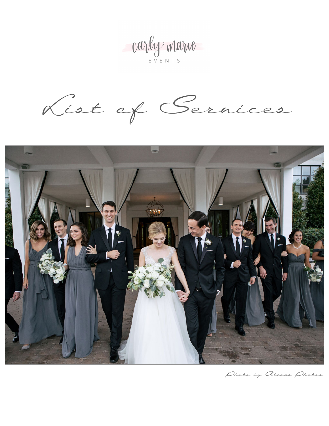Carly marie

List of Services



Phata by Alexas Phatas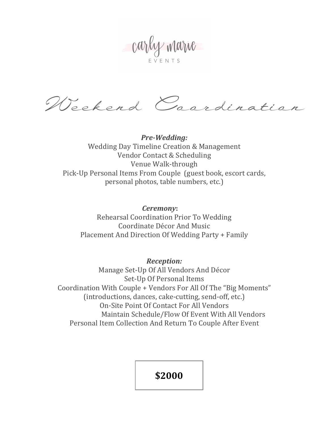Carly marie

Weekend Caardination

*Pre-Wedding:* Wedding Day Timeline Creation & Management Vendor Contact & Scheduling Venue Walk-through Pick-Up Personal Items From Couple (guest book, escort cards, personal photos, table numbers, etc.)

*Ceremony*:

Rehearsal Coordination Prior To Wedding Coordinate Décor And Music Placement And Direction Of Wedding Party + Family

*Reception:*

Manage Set-Up Of All Vendors And Décor Set-Up Of Personal Items Coordination With Couple + Vendors For All Of The "Big Moments" (introductions, dances, cake-cutting, send-off, etc.) On-Site Point Of Contact For All Vendors Maintain Schedule/Flow Of Event With All Vendors Personal Item Collection And Return To Couple After Event

**\$2000**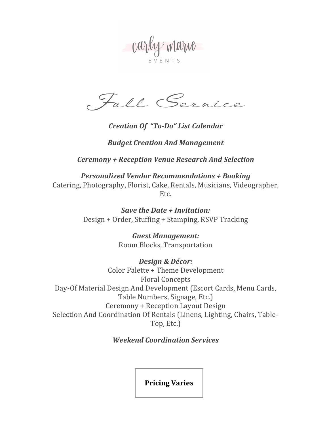carly marie

Full Service

## *Creation Of "To-Do" List Calendar*

## *Budget Creation And Management*

*Ceremony + Reception Venue Research And Selection*

*Personalized Vendor Recommendations + Booking* Catering, Photography, Florist, Cake, Rentals, Musicians, Videographer, Etc.

> *Save the Date + Invitation:* Design + Order, Stuffing + Stamping, RSVP Tracking

> > *Guest Management:* Room Blocks, Transportation

*Design & Décor:* Color Palette + Theme Development Floral Concepts Day-Of Material Design And Development (Escort Cards, Menu Cards, Table Numbers, Signage, Etc.) Ceremony + Reception Layout Design Selection And Coordination Of Rentals (Linens, Lighting, Chairs, Table-Top, Etc.)

## *Weekend Coordination Services*

**Pricing Varies**